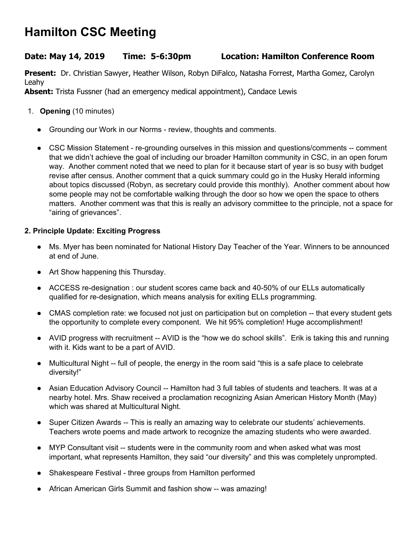# **Hamilton CSC Meeting**

# **Date: May 14, 2019 Time: 5-6:30pm Location: Hamilton Conference Room**

**Present:** Dr. Christian Sawyer, Heather Wilson, Robyn DiFalco, Natasha Forrest, Martha Gomez, Carolyn Leahy

**Absent:** Trista Fussner (had an emergency medical appointment), Candace Lewis

- 1. **Opening** (10 minutes)
	- Grounding our Work in our Norms review, thoughts and comments.
	- CSC Mission Statement re-grounding ourselves in this mission and questions/comments -- comment that we didn't achieve the goal of including our broader Hamilton community in CSC, in an open forum way. Another comment noted that we need to plan for it because start of year is so busy with budget revise after census. Another comment that a quick summary could go in the Husky Herald informing about topics discussed (Robyn, as secretary could provide this monthly). Another comment about how some people may not be comfortable walking through the door so how we open the space to others matters. Another comment was that this is really an advisory committee to the principle, not a space for "airing of grievances".

### **2. Principle Update: Exciting Progress**

- Ms. Myer has been nominated for National History Day Teacher of the Year. Winners to be announced at end of June.
- Art Show happening this Thursday.
- ACCESS re-designation : our student scores came back and 40-50% of our ELLs automatically qualified for re-designation, which means analysis for exiting ELLs programming.
- CMAS completion rate: we focused not just on participation but on completion -- that every student gets the opportunity to complete every component. We hit 95% completion! Huge accomplishment!
- AVID progress with recruitment -- AVID is the "how we do school skills". Erik is taking this and running with it. Kids want to be a part of AVID.
- Multicultural Night -- full of people, the energy in the room said "this is a safe place to celebrate diversity!"
- Asian Education Advisory Council -- Hamilton had 3 full tables of students and teachers. It was at a nearby hotel. Mrs. Shaw received a proclamation recognizing Asian American History Month (May) which was shared at Multicultural Night.
- Super Citizen Awards -- This is really an amazing way to celebrate our students' achievements. Teachers wrote poems and made artwork to recognize the amazing students who were awarded.
- MYP Consultant visit -- students were in the community room and when asked what was most important, what represents Hamilton, they said "our diversity" and this was completely unprompted.
- Shakespeare Festival three groups from Hamilton performed
- African American Girls Summit and fashion show -- was amazing!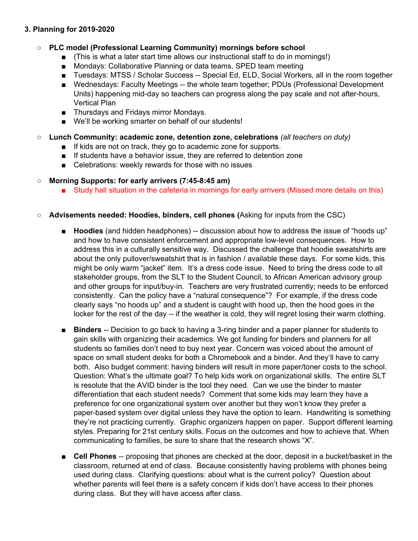### **3. Planning for 2019-2020**

# **○ PLC model (Professional Learning Community) mornings before school**

- (This is what a later start time allows our instructional staff to do in mornings!)
- Mondays: Collaborative Planning or data teams, SPED team meeting
- Tuesdays: MTSS / Scholar Success -- Special Ed, ELD, Social Workers, all in the room together
- Wednesdays: Faculty Meetings -- the whole team together; PDUs (Professional Development Units) happening mid-day so teachers can progress along the pay scale and not after-hours, Vertical Plan
- Thursdays and Fridays mirror Mondays.
- We'll be working smarter on behalf of our students!
- **○ Lunch Community: academic zone, detention zone, celebrations** *(all teachers on duty)*
	- If kids are not on track, they go to academic zone for supports.
	- If students have a behavior issue, they are referred to detention zone
	- Celebrations: weekly rewards for those with no issues

# **○ Morning Supports: for early arrivers (7:45-8:45 am)**

- Study hall situation in the cafeteria in mornings for early arrivers (Missed more details on this)
- **○ Advisements needed: Hoodies, binders, cell phones (**Asking for inputs from the CSC)
	- **Hoodies** (and hidden headphones) -- discussion about how to address the issue of "hoods up" and how to have consistent enforcement and appropriate low-level consequences. How to address this in a culturally sensitive way. Discussed the challenge that hoodie sweatshirts are about the only pullover/sweatshirt that is in fashion / available these days. For some kids, this might be only warm "jacket" item. It's a dress code issue. Need to bring the dress code to all stakeholder groups, from the SLT to the Student Council, to African American advisory group and other groups for input/buy-in. Teachers are very frustrated currently; needs to be enforced consistently. Can the policy have a "natural consequence"? For example, if the dress code clearly says "no hoods up" and a student is caught with hood up, then the hood goes in the locker for the rest of the day -- if the weather is cold, they will regret losing their warm clothing.
	- **Binders** -- Decision to go back to having a 3-ring binder and a paper planner for students to gain skills with organizing their academics. We got funding for binders and planners for all students so families don't need to buy next year. Concern was voiced about the amount of space on small student desks for both a Chromebook and a binder. And they'll have to carry both. Also budget comment: having binders will result in more paper/toner costs to the school. Question: What's the ultimate goal? To help kids work on organizational skills. The entire SLT is resolute that the AVID binder is the tool they need. Can we use the binder to master differentiation that each student needs? Comment that some kids may learn they have a preference for one organizational system over another but they won't know they prefer a paper-based system over digital unless they have the option to learn. Handwriting is something they're not practicing currently. Graphic organizers happen on paper. Support different learning styles. Preparing for 21st century skills. Focus on the outcomes and how to achieve that. When communicating to families, be sure to share that the research shows "X".
	- **Cell Phones** -- proposing that phones are checked at the door, deposit in a bucket/basket in the classroom, returned at end of class. Because consistently having problems with phones being used during class. Clarifying questions: about what is the current policy? Question about whether parents will feel there is a safety concern if kids don't have access to their phones during class. But they will have access after class.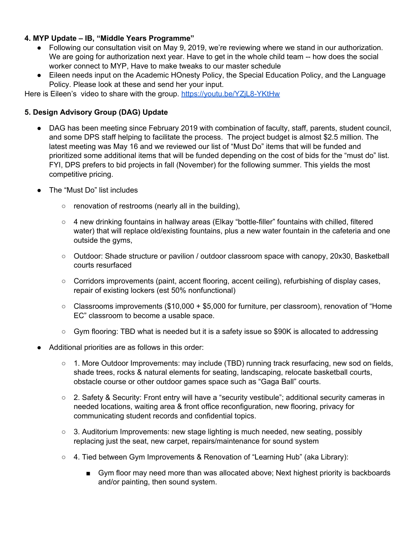### **4. MYP Update – IB, "Middle Years Programme"**

- Following our consultation visit on May 9, 2019, we're reviewing where we stand in our authorization. We are going for authorization next year. Have to get in the whole child team -- how does the social worker connect to MYP, Have to make tweaks to our master schedule
- Eileen needs input on the Academic HOnesty Policy, the Special Education Policy, and the Language Policy. Please look at these and send her your input.

Here is Eileen's video to share with the group. <https://youtu.be/YZjL8-YKtHw>

### **5. Design Advisory Group (DAG) Update**

- DAG has been meeting since February 2019 with combination of faculty, staff, parents, student council, and some DPS staff helping to facilitate the process. The project budget is almost \$2.5 million. The latest meeting was May 16 and we reviewed our list of "Must Do" items that will be funded and prioritized some additional items that will be funded depending on the cost of bids for the "must do" list. FYI, DPS prefers to bid projects in fall (November) for the following summer. This yields the most competitive pricing.
- The "Must Do" list includes
	- $\circ$  renovation of restrooms (nearly all in the building),
	- 4 new drinking fountains in hallway areas (Elkay "bottle-filler" fountains with chilled, filtered water) that will replace old/existing fountains, plus a new water fountain in the cafeteria and one outside the gyms,
	- Outdoor: Shade structure or pavilion / outdoor classroom space with canopy, 20x30, Basketball courts resurfaced
	- Corridors improvements (paint, accent flooring, accent ceiling), refurbishing of display cases, repair of existing lockers (est 50% nonfunctional)
	- $\circ$  Classrooms improvements (\$10,000 + \$5,000 for furniture, per classroom), renovation of "Home EC" classroom to become a usable space.
	- $\circ$  Gym flooring: TBD what is needed but it is a safety issue so \$90K is allocated to addressing
- Additional priorities are as follows in this order:
	- $\circ$  1. More Outdoor Improvements: may include (TBD) running track resurfacing, new sod on fields, shade trees, rocks & natural elements for seating, landscaping, relocate basketball courts, obstacle course or other outdoor games space such as "Gaga Ball" courts.
	- 2. Safety & Security: Front entry will have a "security vestibule"; additional security cameras in needed locations, waiting area & front office reconfiguration, new flooring, privacy for communicating student records and confidential topics.
	- 3. Auditorium Improvements: new stage lighting is much needed, new seating, possibly replacing just the seat, new carpet, repairs/maintenance for sound system
	- 4. Tied between Gym Improvements & Renovation of "Learning Hub" (aka Library):
		- Gym floor may need more than was allocated above; Next highest priority is backboards and/or painting, then sound system.